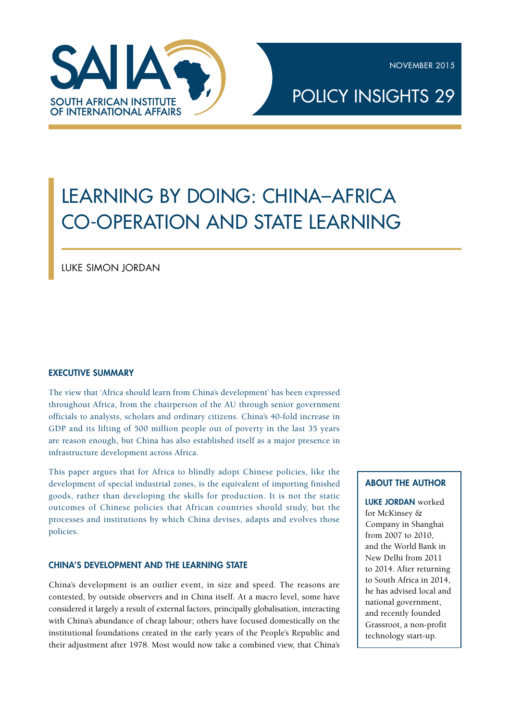NOVEMBER 2015



# POLICY INSIGHTS 29

# LEARNING BY DOING: CHINA–AFRICA CO-OPERATION AND STATE LEARNING

Luke Simon Jordan

# EXECUTIVE SUMMARY

The view that 'Africa should learn from China's development' has been expressed throughout Africa, from the chairperson of the AU through senior government officials to analysts, scholars and ordinary citizens. China's 40-fold increase in GDP and its lifting of 500 million people out of poverty in the last 35 years are reason enough, but China has also established itself as a major presence in infrastructure development across Africa.

This paper argues that for Africa to blindly adopt Chinese policies, like the development of special industrial zones, is the equivalent of importing finished goods, rather than developing the skills for production. It is not the static outcomes of Chinese policies that African countries should study, but the processes and institutions by which China devises, adapts and evolves those policies.

#### CHINA'S DEVELOPMENT AND THE LEARNING STATE

China's development is an outlier event, in size and speed. The reasons are contested, by outside observers and in China itself. At a macro level, some have considered it largely a result of external factors, principally globalisation, interacting with China's abundance of cheap labour; others have focused domestically on the institutional foundations created in the early years of the People's Republic and their adjustment after 1978. Most would now take a combined view, that China's

# about the AUTHOR

LUKE JORDAN worked for McKinsey & Company in Shanghai from 2007 to 2010, and the World Bank in New Delhi from 2011 to 2014. After returning to South Africa in 2014, he has advised local and national government, and recently founded Grassroot, a non-profit technology start-up.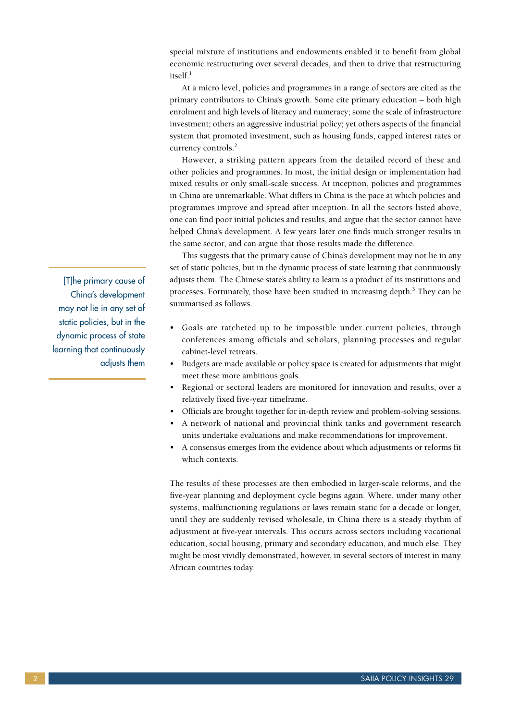special mixture of institutions and endowments enabled it to benefit from global economic restructuring over several decades, and then to drive that restructuring itself.<sup>1</sup>

At a micro level, policies and programmes in a range of sectors are cited as the primary contributors to China's growth. Some cite primary education – both high enrolment and high levels of literacy and numeracy; some the scale of infrastructure investment; others an aggressive industrial policy; yet others aspects of the financial system that promoted investment, such as housing funds, capped interest rates or currency controls.<sup>2</sup>

However, a striking pattern appears from the detailed record of these and other policies and programmes. In most, the initial design or implementation had mixed results or only small-scale success. At inception, policies and programmes in China are unremarkable. What differs in China is the pace at which policies and programmes improve and spread after inception. In all the sectors listed above, one can find poor initial policies and results, and argue that the sector cannot have helped China's development. A few years later one finds much stronger results in the same sector, and can argue that those results made the difference.

This suggests that the primary cause of China's development may not lie in any set of static policies, but in the dynamic process of state learning that continuously adjusts them. The Chinese state's ability to learn is a product of its institutions and processes. Fortunately, those have been studied in increasing depth.<sup>3</sup> They can be summarised as follows.

- • Goals are ratcheted up to be impossible under current policies, through conferences among officials and scholars, planning processes and regular cabinet-level retreats.
- Budgets are made available or policy space is created for adjustments that might meet these more ambitious goals.
- • Regional or sectoral leaders are monitored for innovation and results, over a relatively fixed five-year timeframe.
- Officials are brought together for in-depth review and problem-solving sessions.
- • A network of national and provincial think tanks and government research units undertake evaluations and make recommendations for improvement.
- • A consensus emerges from the evidence about which adjustments or reforms fit which contexts.

The results of these processes are then embodied in larger-scale reforms, and the five-year planning and deployment cycle begins again. Where, under many other systems, malfunctioning regulations or laws remain static for a decade or longer, until they are suddenly revised wholesale, in China there is a steady rhythm of adjustment at five-year intervals. This occurs across sectors including vocational education, social housing, primary and secondary education, and much else. They might be most vividly demonstrated, however, in several sectors of interest in many African countries today.

[T]he primary cause of China's development may not lie in any set of static policies, but in the dynamic process of state learning that continuously adjusts them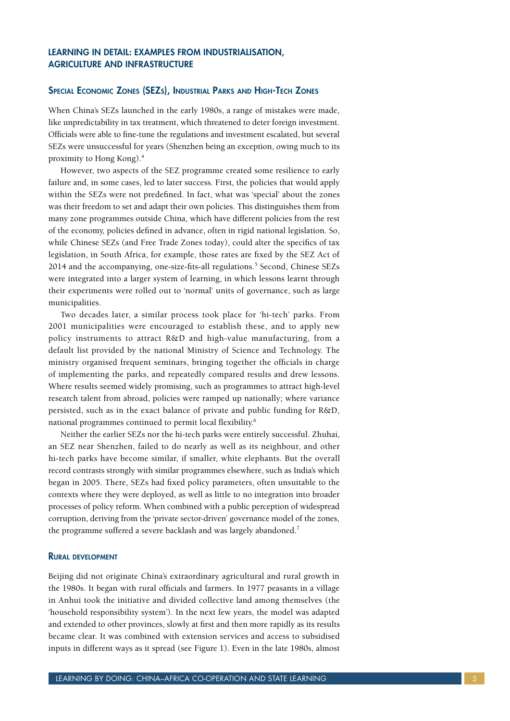# LEARNING IN DETAIL: EXAMPLES FROM INDUSTRIALISATION, AGRICULTURE AND INFRASTRUCTURE

#### Special Economic Zones (SEZs), Industrial Parks and High-Tech Zones

When China's SEZs launched in the early 1980s, a range of mistakes were made, like unpredictability in tax treatment, which threatened to deter foreign investment. Officials were able to fine-tune the regulations and investment escalated, but several SEZs were unsuccessful for years (Shenzhen being an exception, owing much to its proximity to Hong Kong).4

However, two aspects of the SEZ programme created some resilience to early failure and, in some cases, led to later success. First, the policies that would apply within the SEZs were not predefined. In fact, what was 'special' about the zones was their freedom to set and adapt their own policies. This distinguishes them from many zone programmes outside China, which have different policies from the rest of the economy, policies defined in advance, often in rigid national legislation. So, while Chinese SEZs (and Free Trade Zones today), could alter the specifics of tax legislation, in South Africa, for example, those rates are fixed by the SEZ Act of 2014 and the accompanying, one-size-fits-all regulations.<sup>5</sup> Second, Chinese SEZs were integrated into a larger system of learning, in which lessons learnt through their experiments were rolled out to 'normal' units of governance, such as large municipalities.

Two decades later, a similar process took place for 'hi-tech' parks. From 2001 municipalities were encouraged to establish these, and to apply new policy instruments to attract R&D and high-value manufacturing, from a default list provided by the national Ministry of Science and Technology. The ministry organised frequent seminars, bringing together the officials in charge of implementing the parks, and repeatedly compared results and drew lessons. Where results seemed widely promising, such as programmes to attract high-level research talent from abroad, policies were ramped up nationally; where variance persisted, such as in the exact balance of private and public funding for R&D, national programmes continued to permit local flexibility.6

Neither the earlier SEZs nor the hi-tech parks were entirely successful. Zhuhai, an SEZ near Shenzhen, failed to do nearly as well as its neighbour, and other hi-tech parks have become similar, if smaller, white elephants. But the overall record contrasts strongly with similar programmes elsewhere, such as India's which began in 2005. There, SEZs had fixed policy parameters, often unsuitable to the contexts where they were deployed, as well as little to no integration into broader processes of policy reform. When combined with a public perception of widespread corruption, deriving from the 'private sector-driven' governance model of the zones, the programme suffered a severe backlash and was largely abandoned.<sup>7</sup>

#### Rural development

Beijing did not originate China's extraordinary agricultural and rural growth in the 1980s. It began with rural officials and farmers. In 1977 peasants in a village in Anhui took the initiative and divided collective land among themselves (the 'household responsibility system'). In the next few years, the model was adapted and extended to other provinces, slowly at first and then more rapidly as its results became clear. It was combined with extension services and access to subsidised inputs in different ways as it spread (see Figure 1). Even in the late 1980s, almost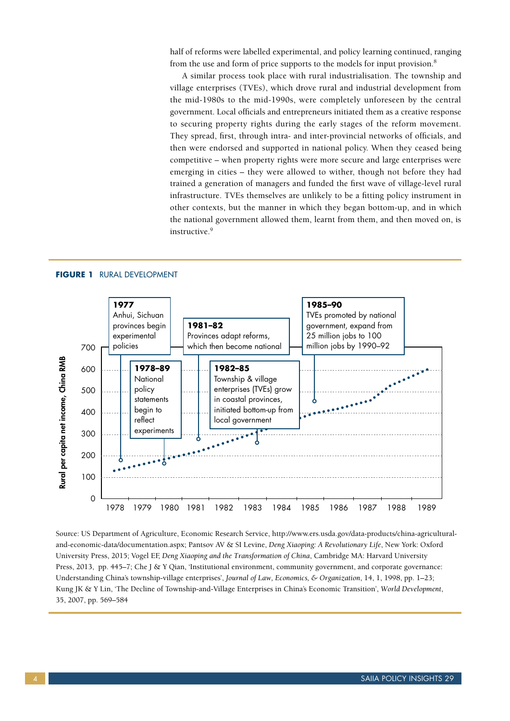half of reforms were labelled experimental, and policy learning continued, ranging from the use and form of price supports to the models for input provision.<sup>8</sup>

A similar process took place with rural industrialisation. The township and village enterprises (TVEs), which drove rural and industrial development from the mid-1980s to the mid-1990s, were completely unforeseen by the central government. Local officials and entrepreneurs initiated them as a creative response to securing property rights during the early stages of the reform movement. They spread, first, through intra- and inter-provincial networks of officials, and then were endorsed and supported in national policy. When they ceased being competitive – when property rights were more secure and large enterprises were emerging in cities – they were allowed to wither, though not before they had trained a generation of managers and funded the first wave of village-level rural infrastructure. TVEs themselves are unlikely to be a fitting policy instrument in other contexts, but the manner in which they began bottom-up, and in which the national government allowed them, learnt from them, and then moved on, is instructive.<sup>9</sup>



**Figure 1** Rural development

Source: US Department of Agriculture, Economic Research Service, http://www.ers.usda.gov/data-products/china-agriculturaland-economic-data/documentation.aspx; Pantsov AV & SI Levine, *Deng Xiaoping: A Revolutionary Life*, New York: Oxford University Press, 2015; Vogel EF, *Deng Xiaoping and the Transformation of China*, Cambridge MA: Harvard University Press, 2013, pp. 445–7; Che J & Y Qian, 'Institutional environment, community government, and corporate governance: Understanding China's township-village enterprises', *Journal of Law, Economics, & Organization*, 14, 1, 1998, pp. 1–23; Kung JK & Y Lin, 'The Decline of Township-and-Village Enterprises in China's Economic Transition', *World Development*, 35, 2007, pp. 569–584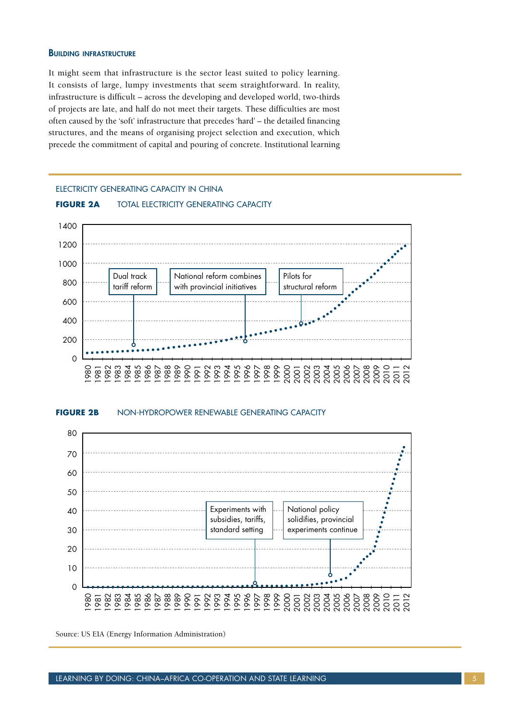#### **BUILDING INFRASTRUCTURE**

It might seem that infrastructure is the sector least suited to policy learning. It consists of large, lumpy investments that seem straightforward. In reality, infrastructure is difficult – across the developing and developed world, two-thirds of projects are late, and half do not meet their targets. These difficulties are most often caused by the 'soft' infrastructure that precedes 'hard' – the detailed financing structures, and the means of organising project selection and execution, which precede the commitment of capital and pouring of concrete. Institutional learning

#### Electricity generating capacity in china

#### **Figure 2a** TOTAL Electricity generating capacity



#### **FIGURE 2B NON-HYDROPOWER RENEWABLE GENERATING CAPACITY**



Source: US EIA (Energy Information Administration)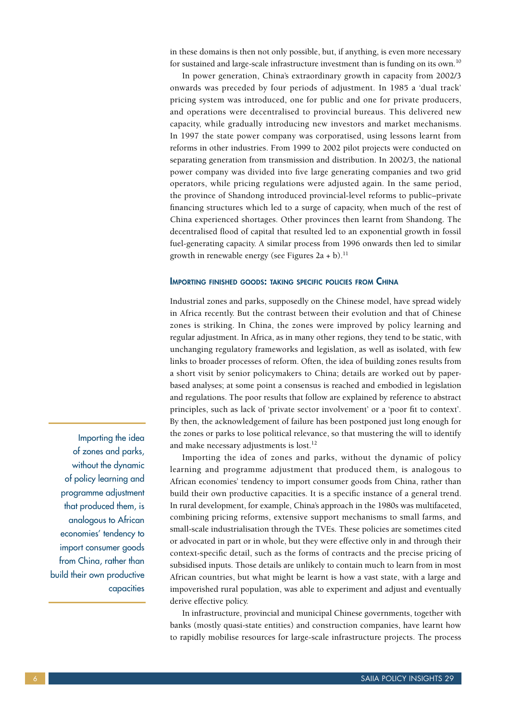in these domains is then not only possible, but, if anything, is even more necessary for sustained and large-scale infrastructure investment than is funding on its own.<sup>10</sup>

In power generation, China's extraordinary growth in capacity from 2002/3 onwards was preceded by four periods of adjustment. In 1985 a 'dual track' pricing system was introduced, one for public and one for private producers, and operations were decentralised to provincial bureaus. This delivered new capacity, while gradually introducing new investors and market mechanisms. In 1997 the state power company was corporatised, using lessons learnt from reforms in other industries. From 1999 to 2002 pilot projects were conducted on separating generation from transmission and distribution. In 2002/3, the national power company was divided into five large generating companies and two grid operators, while pricing regulations were adjusted again. In the same period, the province of Shandong introduced provincial-level reforms to public–private financing structures which led to a surge of capacity, when much of the rest of China experienced shortages. Other provinces then learnt from Shandong. The decentralised flood of capital that resulted led to an exponential growth in fossil fuel-generating capacity. A similar process from 1996 onwards then led to similar growth in renewable energy (see Figures  $2a + b$ ).<sup>11</sup>

#### Importing finished goods: taking specific policies from China

Industrial zones and parks, supposedly on the Chinese model, have spread widely in Africa recently. But the contrast between their evolution and that of Chinese zones is striking. In China, the zones were improved by policy learning and regular adjustment. In Africa, as in many other regions, they tend to be static, with unchanging regulatory frameworks and legislation, as well as isolated, with few links to broader processes of reform. Often, the idea of building zones results from a short visit by senior policymakers to China; details are worked out by paperbased analyses; at some point a consensus is reached and embodied in legislation and regulations. The poor results that follow are explained by reference to abstract principles, such as lack of 'private sector involvement' or a 'poor fit to context'. By then, the acknowledgement of failure has been postponed just long enough for the zones or parks to lose political relevance, so that mustering the will to identify and make necessary adjustments is lost.<sup>12</sup>

Importing the idea of zones and parks, without the dynamic of policy learning and programme adjustment that produced them, is analogous to African economies' tendency to import consumer goods from China, rather than build their own productive capacities. It is a specific instance of a general trend. In rural development, for example, China's approach in the 1980s was multifaceted, combining pricing reforms, extensive support mechanisms to small farms, and small-scale industrialisation through the TVEs. These policies are sometimes cited or advocated in part or in whole, but they were effective only in and through their context-specific detail, such as the forms of contracts and the precise pricing of subsidised inputs. Those details are unlikely to contain much to learn from in most African countries, but what might be learnt is how a vast state, with a large and impoverished rural population, was able to experiment and adjust and eventually derive effective policy.

In infrastructure, provincial and municipal Chinese governments, together with banks (mostly quasi-state entities) and construction companies, have learnt how to rapidly mobilise resources for large-scale infrastructure projects. The process

Importing the idea of zones and parks, without the dynamic of policy learning and programme adjustment that produced them, is analogous to African economies' tendency to import consumer goods from China, rather than build their own productive capacities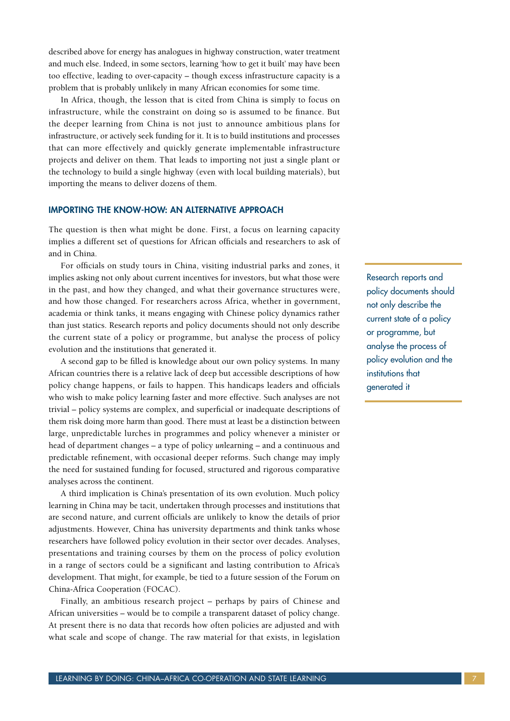described above for energy has analogues in highway construction, water treatment and much else. Indeed, in some sectors, learning 'how to get it built' may have been too effective, leading to over-capacity – though excess infrastructure capacity is a problem that is probably unlikely in many African economies for some time.

In Africa, though, the lesson that is cited from China is simply to focus on infrastructure, while the constraint on doing so is assumed to be finance. But the deeper learning from China is not just to announce ambitious plans for infrastructure, or actively seek funding for it. It is to build institutions and processes that can more effectively and quickly generate implementable infrastructure projects and deliver on them. That leads to importing not just a single plant or the technology to build a single highway (even with local building materials), but importing the means to deliver dozens of them.

#### IMPORTING THE KNOW-HOW: AN ALTERNATIVE APPROACH

The question is then what might be done. First, a focus on learning capacity implies a different set of questions for African officials and researchers to ask of and in China.

For officials on study tours in China, visiting industrial parks and zones, it implies asking not only about current incentives for investors, but what those were in the past, and how they changed, and what their governance structures were, and how those changed. For researchers across Africa, whether in government, academia or think tanks, it means engaging with Chinese policy dynamics rather than just statics. Research reports and policy documents should not only describe the current state of a policy or programme, but analyse the process of policy evolution and the institutions that generated it.

A second gap to be filled is knowledge about our own policy systems. In many African countries there is a relative lack of deep but accessible descriptions of how policy change happens, or fails to happen. This handicaps leaders and officials who wish to make policy learning faster and more effective. Such analyses are not trivial – policy systems are complex, and superficial or inadequate descriptions of them risk doing more harm than good. There must at least be a distinction between large, unpredictable lurches in programmes and policy whenever a minister or head of department changes – a type of policy *un*learning – and a continuous and predictable refinement, with occasional deeper reforms. Such change may imply the need for sustained funding for focused, structured and rigorous comparative analyses across the continent.

A third implication is China's presentation of its own evolution. Much policy learning in China may be tacit, undertaken through processes and institutions that are second nature, and current officials are unlikely to know the details of prior adjustments. However, China has university departments and think tanks whose researchers have followed policy evolution in their sector over decades. Analyses, presentations and training courses by them on the process of policy evolution in a range of sectors could be a significant and lasting contribution to Africa's development. That might, for example, be tied to a future session of the Forum on China-Africa Cooperation (FOCAC).

Finally, an ambitious research project – perhaps by pairs of Chinese and African universities – would be to compile a transparent dataset of policy change. At present there is no data that records how often policies are adjusted and with what scale and scope of change. The raw material for that exists, in legislation Research reports and policy documents should not only describe the current state of a policy or programme, but analyse the process of policy evolution and the institutions that generated it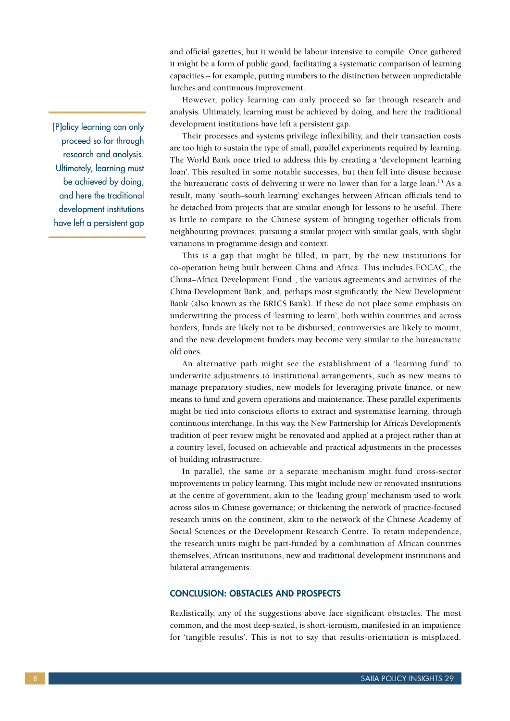[P]olicy learning can only proceed so far through research and analysis. Ultimately, learning must be achieved by doing, and here the traditional development institutions have left a persistent gap

and official gazettes, but it would be labour intensive to compile. Once gathered it might be a form of public good, facilitating a systematic comparison of learning capacities – for example, putting numbers to the distinction between unpredictable lurches and continuous improvement.

However, policy learning can only proceed so far through research and analysis. Ultimately, learning must be achieved by doing, and here the traditional development institutions have left a persistent gap.

Their processes and systems privilege inflexibility, and their transaction costs are too high to sustain the type of small, parallel experiments required by learning. The World Bank once tried to address this by creating a 'development learning loan'. This resulted in some notable successes, but then fell into disuse because the bureaucratic costs of delivering it were no lower than for a large loan.<sup>13</sup> As a result, many 'south–south learning' exchanges between African officials tend to be detached from projects that are similar enough for lessons to be useful. There is little to compare to the Chinese system of bringing together officials from neighbouring provinces, pursuing a similar project with similar goals, with slight variations in programme design and context.

This is a gap that might be filled, in part, by the new institutions for co-operation being built between China and Africa. This includes FOCAC, the China–Africa Development Fund , the various agreements and activities of the China Development Bank, and, perhaps most significantly, the New Development Bank (also known as the BRICS Bank). If these do not place some emphasis on underwriting the process of 'learning to learn', both within countries and across borders, funds are likely not to be disbursed, controversies are likely to mount, and the new development funders may become very similar to the bureaucratic old ones.

An alternative path might see the establishment of a 'learning fund' to underwrite adjustments to institutional arrangements, such as new means to manage preparatory studies, new models for leveraging private finance, or new means to fund and govern operations and maintenance. These parallel experiments might be tied into conscious efforts to extract and systematise learning, through continuous interchange. In this way, the New Partnership for Africa's Development's tradition of peer review might be renovated and applied at a project rather than at a country level, focused on achievable and practical adjustments in the processes of building infrastructure.

In parallel, the same or a separate mechanism might fund cross-sector improvements in policy learning. This might include new or renovated institutions at the centre of government, akin to the 'leading group' mechanism used to work across silos in Chinese governance; or thickening the network of practice-focused research units on the continent, akin to the network of the Chinese Academy of Social Sciences or the Development Research Centre. To retain independence, the research units might be part-funded by a combination of African countries themselves, African institutions, new and traditional development institutions and bilateral arrangements.

#### CONCLUSION: OBSTACLES AND PROSPECTS

Realistically, any of the suggestions above face significant obstacles. The most common, and the most deep-seated, is short-termism, manifested in an impatience for 'tangible results'. This is not to say that results-orientation is misplaced.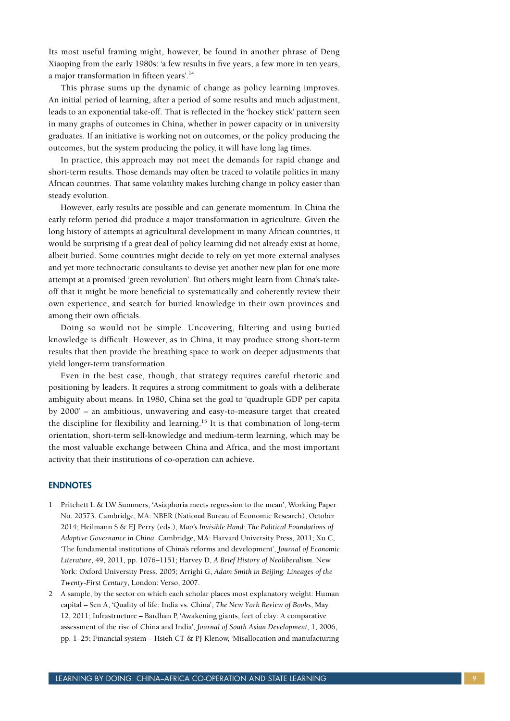Its most useful framing might, however, be found in another phrase of Deng Xiaoping from the early 1980s: 'a few results in five years, a few more in ten years, a major transformation in fifteen years'.14

This phrase sums up the dynamic of change as policy learning improves. An initial period of learning, after a period of some results and much adjustment, leads to an exponential take-off. That is reflected in the 'hockey stick' pattern seen in many graphs of outcomes in China, whether in power capacity or in university graduates. If an initiative is working not on outcomes, or the policy producing the outcomes, but the system producing the policy, it will have long lag times.

In practice, this approach may not meet the demands for rapid change and short-term results. Those demands may often be traced to volatile politics in many African countries. That same volatility makes lurching change in policy easier than steady evolution.

However, early results are possible and can generate momentum. In China the early reform period did produce a major transformation in agriculture. Given the long history of attempts at agricultural development in many African countries, it would be surprising if a great deal of policy learning did not already exist at home, albeit buried. Some countries might decide to rely on yet more external analyses and yet more technocratic consultants to devise yet another new plan for one more attempt at a promised 'green revolution'. But others might learn from China's takeoff that it might be more beneficial to systematically and coherently review their own experience, and search for buried knowledge in their own provinces and among their own officials.

Doing so would not be simple. Uncovering, filtering and using buried knowledge is difficult. However, as in China, it may produce strong short-term results that then provide the breathing space to work on deeper adjustments that yield longer-term transformation.

Even in the best case, though, that strategy requires careful rhetoric and positioning by leaders. It requires a strong commitment to goals with a deliberate ambiguity about means. In 1980, China set the goal to 'quadruple GDP per capita by 2000' – an ambitious, unwavering and easy-to-measure target that created the discipline for flexibility and learning.<sup>15</sup> It is that combination of long-term orientation, short-term self-knowledge and medium-term learning, which may be the most valuable exchange between China and Africa, and the most important activity that their institutions of co-operation can achieve.

#### **ENDNOTES**

- 1 Pritchett L & LW Summers, 'Asiaphoria meets regression to the mean', Working Paper No. 20573. Cambridge, MA: NBER (National Bureau of Economic Research), October 2014; Heilmann S & EJ Perry (eds.), *Mao's Invisible Hand: The Political Foundations of Adaptive Governance in China*. Cambridge, MA: Harvard University Press, 2011; Xu C, 'The fundamental institutions of China's reforms and development', *Journal of Economic Literature*, 49, 2011, pp. 1076–1151; Harvey D, *A Brief History of Neoliberalism*. New York: Oxford University Press, 2005; Arrighi G, *Adam Smith in Beijing: Lineages of the Twenty-First Century*, London: Verso, 2007.
- 2 A sample, by the sector on which each scholar places most explanatory weight: Human capital – Sen A, 'Quality of life: India vs. China', *The New York Review of Books*, May 12, 2011; Infrastructure – Bardhan P, 'Awakening giants, feet of clay: A comparative assessment of the rise of China and India', *Journal of South Asian Development*, 1, 2006, pp. 1–25; Financial system – Hsieh CT & PJ Klenow, 'Misallocation and manufacturing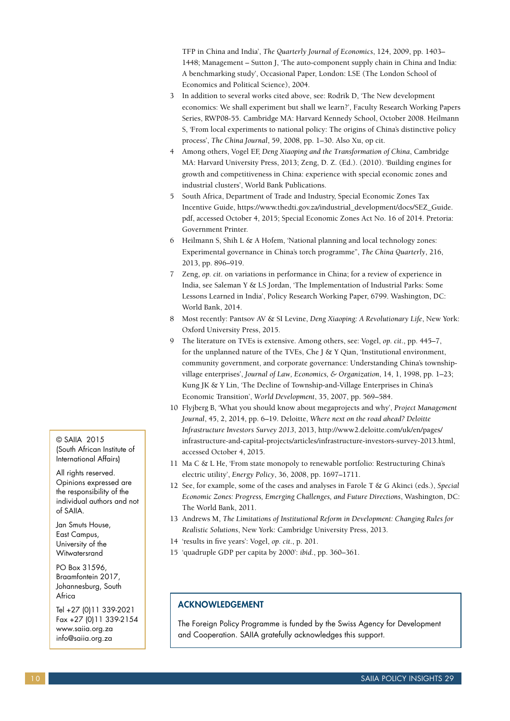TFP in China and India', *The Quarterly Journal of Economics*, 124, 2009, pp. 1403– 1448; Management – Sutton J, 'The auto-component supply chain in China and India: A benchmarking study', Occasional Paper, London: LSE (The London School of Economics and Political Science), 2004.

- 3 In addition to several works cited above, see: Rodrik D, 'The New development economics: We shall experiment but shall we learn?', Faculty Research Working Papers Series, RWP08-55. Cambridge MA: Harvard Kennedy School, October 2008. Heilmann S, 'From local experiments to national policy: The origins of China's distinctive policy process', *The China Journal*, 59, 2008, pp. 1–30. Also Xu, op cit.
- 4 Among others, Vogel EF, *Deng Xiaoping and the Transformation of China*, Cambridge MA: Harvard University Press, 2013; Zeng, D. Z. (Ed.). (2010). 'Building engines for growth and competitiveness in China: experience with special economic zones and industrial clusters', World Bank Publications.
- 5 South Africa, Department of Trade and Industry, Special Economic Zones Tax Incentive Guide, https://www.thedti.gov.za/industrial\_development/docs/SEZ\_Guide. pdf, accessed October 4, 2015; Special Economic Zones Act No. 16 of 2014. Pretoria: Government Printer.
- 6 Heilmann S, Shih L & A Hofem, 'National planning and local technology zones: Experimental governance in China's torch programme'', *The China Quarterly*, 216, 2013, pp. 896–919.
- 7 Zeng, *op. cit*. on variations in performance in China; for a review of experience in India, see Saleman Y & LS Jordan, 'The Implementation of Industrial Parks: Some Lessons Learned in India', Policy Research Working Paper, 6799. Washington, DC: World Bank, 2014.
- 8 Most recently: Pantsov AV & SI Levine, *Deng Xiaoping: A Revolutionary Life*, New York: Oxford University Press, 2015.
- 9 The literature on TVEs is extensive. Among others, see: Vogel, *op. cit*., pp. 445–7, for the unplanned nature of the TVEs, Che J & Y Qian, 'Institutional environment, community government, and corporate governance: Understanding China's townshipvillage enterprises', *Journal of Law, Economics, & Organization*, 14, 1, 1998, pp. 1–23; Kung JK & Y Lin, 'The Decline of Township-and-Village Enterprises in China's Economic Transition', *World Development*, 35, 2007, pp. 569–584.
- 10 Flyjberg B, 'What you should know about megaprojects and why', *Project Management Journal*, 45, 2, 2014, pp. 6–19. Deloitte, *Where next on the road ahead? Deloitte Infrastructure Investors Survey 2013*, 2013, http://www2.deloitte.com/uk/en/pages/ infrastructure-and-capital-projects/articles/infrastructure-investors-survey-2013.html, accessed October 4, 2015.
- 11 Ma C & L He, 'From state monopoly to renewable portfolio: Restructuring China's electric utility', *Energy Policy*, 36, 2008, pp. 1697–1711.
- 12 See, for example, some of the cases and analyses in Farole T & G Akinci (eds.), *Special Economic Zones: Progress, Emerging Challenges, and Future Directions*, Washington, DC: The World Bank, 2011.
- 13 Andrews M, *The Limitations of Institutional Reform in Development: Changing Rules for Realistic Solutions*, New York: Cambridge University Press, 2013.
- 14 'results in five years': Vogel, *op. cit*., p. 201.
- 15 'quadruple GDP per capita by 2000': *ibid*., pp. 360–361.

# ACKNOWLEDGEMENT

The Foreign Policy Programme is funded by the Swiss Agency for Development and Cooperation. SAIIA gratefully acknowledges this support.

© SAIIA 2015 (South African Institute of International Affairs)

All rights reserved. Opinions expressed are the responsibility of the individual authors and not of SAIIA.

Jan Smuts House, East Campus, University of the **Witwatersrand** 

PO Box 31596, Braamfontein 2017, Johannesburg, South Africa

Tel +27 (0)11 339-2021 Fax +27 (0)11 339-2154 www.saiia.org.za info@saiia.org.za